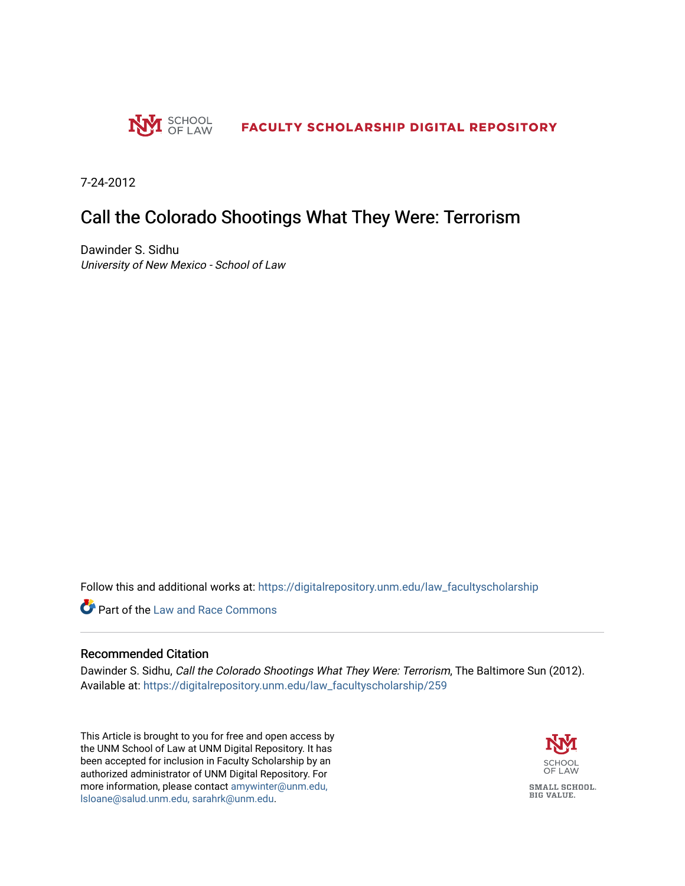

7-24-2012

## Call the Colorado Shootings What They Were: Terrorism

Dawinder S. Sidhu University of New Mexico - School of Law

Follow this and additional works at: [https://digitalrepository.unm.edu/law\\_facultyscholarship](https://digitalrepository.unm.edu/law_facultyscholarship?utm_source=digitalrepository.unm.edu%2Flaw_facultyscholarship%2F259&utm_medium=PDF&utm_campaign=PDFCoverPages) 

**Part of the Law and Race Commons** 

## Recommended Citation

Dawinder S. Sidhu, Call the Colorado Shootings What They Were: Terrorism, The Baltimore Sun (2012). Available at: [https://digitalrepository.unm.edu/law\\_facultyscholarship/259](https://digitalrepository.unm.edu/law_facultyscholarship/259?utm_source=digitalrepository.unm.edu%2Flaw_facultyscholarship%2F259&utm_medium=PDF&utm_campaign=PDFCoverPages) 

This Article is brought to you for free and open access by the UNM School of Law at UNM Digital Repository. It has been accepted for inclusion in Faculty Scholarship by an authorized administrator of UNM Digital Repository. For more information, please contact [amywinter@unm.edu,](mailto:amywinter@unm.edu,%20lsloane@salud.unm.edu,%20sarahrk@unm.edu)  [lsloane@salud.unm.edu, sarahrk@unm.edu.](mailto:amywinter@unm.edu,%20lsloane@salud.unm.edu,%20sarahrk@unm.edu)

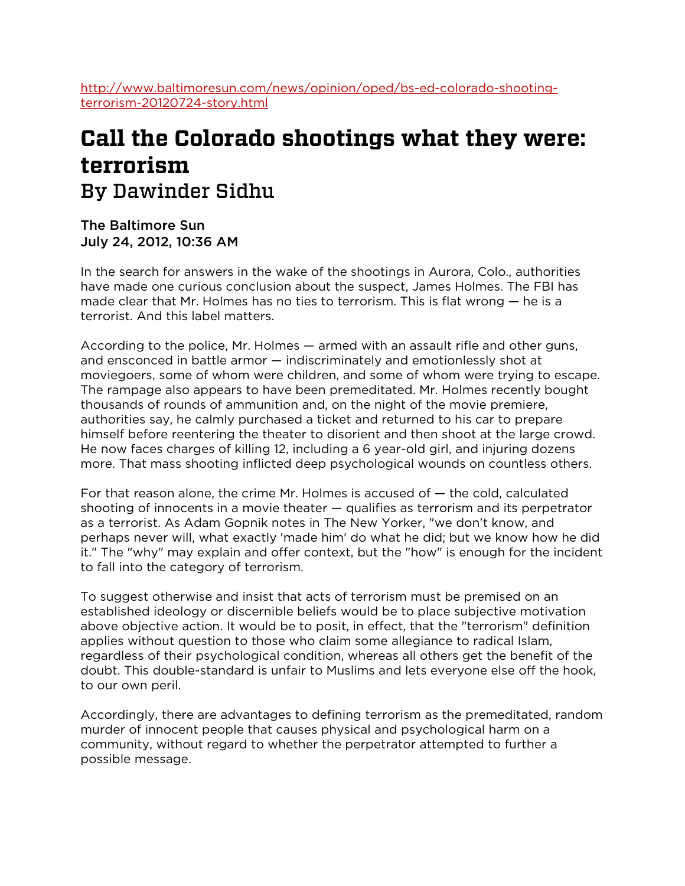[http://www.baltimoresun.com/news/opinion/oped/bs-ed-colorado-shooting](http://www.baltimoresun.com/news/opinion/oped/bs-ed-colorado-shooting-terrorism-20120724-story.html)[terrorism-20120724-story.html](http://www.baltimoresun.com/news/opinion/oped/bs-ed-colorado-shooting-terrorism-20120724-story.html)

## **Call the Colorado shootings what they were: terrorism** By Dawinder Sidhu

The Baltimore Sun July 24, 2012, 10:36 AM

In the search for answers in the wake of the shootings in Aurora, Colo., authorities have made one curious conclusion about the suspect, James Holmes. The FBI has made clear that Mr. Holmes has no ties to terrorism. This is flat wrong — he is a terrorist. And this label matters.

According to the police, Mr. Holmes — armed with an assault rifle and other guns, and ensconced in battle armor — indiscriminately and emotionlessly shot at moviegoers, some of whom were children, and some of whom were trying to escape. The rampage also appears to have been premeditated. Mr. Holmes recently bought thousands of rounds of ammunition and, on the night of the movie premiere, authorities say, he calmly purchased a ticket and returned to his car to prepare himself before reentering the theater to disorient and then shoot at the large crowd. He now faces charges of killing 12, including a 6 year-old girl, and injuring dozens more. That mass shooting inflicted deep psychological wounds on countless others.

For that reason alone, the crime Mr. Holmes is accused of — the cold, calculated shooting of innocents in a movie theater — qualifies as terrorism and its perpetrator as a terrorist. As Adam Gopnik notes in The New Yorker, "we don't know, and perhaps never will, what exactly 'made him' do what he did; but we know how he did it." The "why" may explain and offer context, but the "how" is enough for the incident to fall into the category of terrorism.

To suggest otherwise and insist that acts of terrorism must be premised on an established ideology or discernible beliefs would be to place subjective motivation above objective action. It would be to posit, in effect, that the "terrorism" definition applies without question to those who claim some allegiance to radical Islam, regardless of their psychological condition, whereas all others get the benefit of the doubt. This double-standard is unfair to Muslims and lets everyone else off the hook, to our own peril.

Accordingly, there are advantages to defining terrorism as the premeditated, random murder of innocent people that causes physical and psychological harm on a community, without regard to whether the perpetrator attempted to further a possible message.